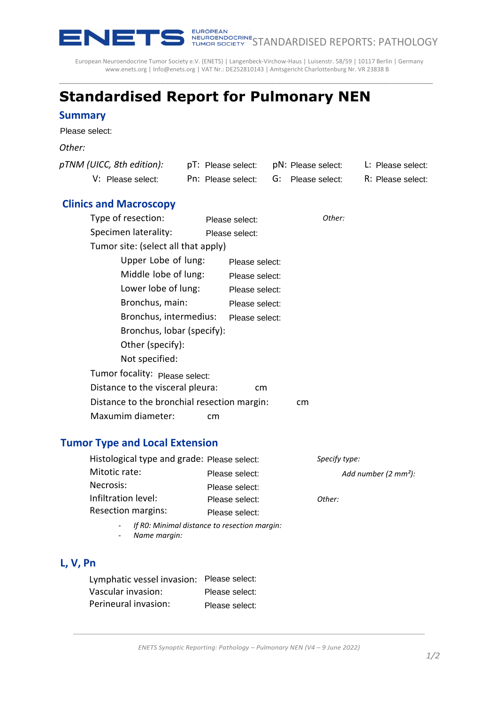

EUROPEAN<br>NEUROENDOCRINE<br>TUMOR SOCIETY STANDARDISED REPORTS: PATHOLOGY

European Neuroendocrine Tumor Society e.V. (ENETS) | Langenbeck-Virchow-Haus | Luisenstr. 58/59 | 10117 Berlin | Germany [www.enets.org](http://www.enets.org/) | [Info@enets.org](mailto:Info@enets.org) | VAT Nr.: DE252810143 | Amtsgericht Charlottenburg Nr. VR 23838 B

\_\_\_\_\_\_\_\_\_\_\_\_\_\_\_\_\_\_\_\_\_\_\_\_\_\_\_\_\_\_\_\_\_\_\_\_\_\_\_\_\_\_\_\_\_\_\_\_\_\_\_\_\_\_\_\_\_\_\_\_\_\_\_\_\_\_\_\_\_\_\_\_\_\_\_\_\_\_\_\_\_

# **Standardised Report for Pulmonary NEN**

#### **Summary**

Please select:

#### *Other:*

| pTNM (UICC, 8th edition):                         |                                   | pT: Please select:                           |    | pN: Please select: | L: Please select:               |
|---------------------------------------------------|-----------------------------------|----------------------------------------------|----|--------------------|---------------------------------|
| V: Please select:                                 |                                   | Pn: Please select:                           | G: | Please select:     | R: Please select:               |
|                                                   |                                   |                                              |    |                    |                                 |
| <b>Clinics and Macroscopy</b>                     |                                   |                                              |    |                    |                                 |
| Type of resection:                                |                                   | Please select:                               |    | Other:             |                                 |
| Specimen laterality:                              |                                   | Please select:                               |    |                    |                                 |
| Tumor site: (select all that apply)               |                                   |                                              |    |                    |                                 |
| Upper Lobe of lung:                               |                                   | Please select:                               |    |                    |                                 |
| Middle lobe of lung:                              |                                   | Please select:                               |    |                    |                                 |
| Lower lobe of lung:                               |                                   | Please select:                               |    |                    |                                 |
|                                                   | Bronchus, main:<br>Please select: |                                              |    |                    |                                 |
| Bronchus, intermedius:<br>Please select:          |                                   |                                              |    |                    |                                 |
| Bronchus, lobar (specify):                        |                                   |                                              |    |                    |                                 |
| Other (specify):                                  |                                   |                                              |    |                    |                                 |
| Not specified:                                    |                                   |                                              |    |                    |                                 |
| Tumor focality: Please select:                    |                                   |                                              |    |                    |                                 |
| Distance to the visceral pleura:                  |                                   | cm                                           |    |                    |                                 |
| Distance to the bronchial resection margin:<br>cm |                                   |                                              |    |                    |                                 |
| Maxumim diameter:                                 |                                   | cm                                           |    |                    |                                 |
|                                                   |                                   |                                              |    |                    |                                 |
| <b>Tumor Type and Local Extension</b>             |                                   |                                              |    |                    |                                 |
| Histological type and grade: Please select:       |                                   |                                              |    | Specify type:      |                                 |
| Mitotic rate:                                     |                                   | Please select:                               |    |                    | Add number $(2 \text{ mm}^2)$ : |
| Necrosis:                                         |                                   | Please select:                               |    |                    |                                 |
| Infiltration level:                               |                                   | Please select:                               |    | Other:             |                                 |
| Resection margins:                                |                                   | Please select:                               |    |                    |                                 |
|                                                   |                                   | If RO: Minimal distance to resection margin: |    |                    |                                 |
| Name margin:                                      |                                   |                                              |    |                    |                                 |
|                                                   |                                   |                                              |    |                    |                                 |
| L, V, Pn                                          |                                   |                                              |    |                    |                                 |
| Lymphatic vessel invasion:                        |                                   | Please select:                               |    |                    |                                 |
| Vascular invasion:                                |                                   | Please select:                               |    |                    |                                 |
| Perineural invasion:                              |                                   | Please select:                               |    |                    |                                 |

### **Tumor Type and Local Extension**

| Histological type and grade: Please select: |                | Specify type:                   |
|---------------------------------------------|----------------|---------------------------------|
| Mitotic rate:                               | Please select: | Add number $(2 \text{ mm}^2)$ : |
| Necrosis:                                   | Please select: |                                 |
| Infiltration level:                         | Please select: | Other:                          |
| <b>Resection margins:</b>                   | Please select: |                                 |

- *If R0: Minimal distance to resection margin:*
- *Name margin:*

## **L, V, Pn**

| Lymphatic vessel invasion: Please select: |                |
|-------------------------------------------|----------------|
| Vascular invasion:                        | Please select: |
| Perineural invasion:                      | Please select: |